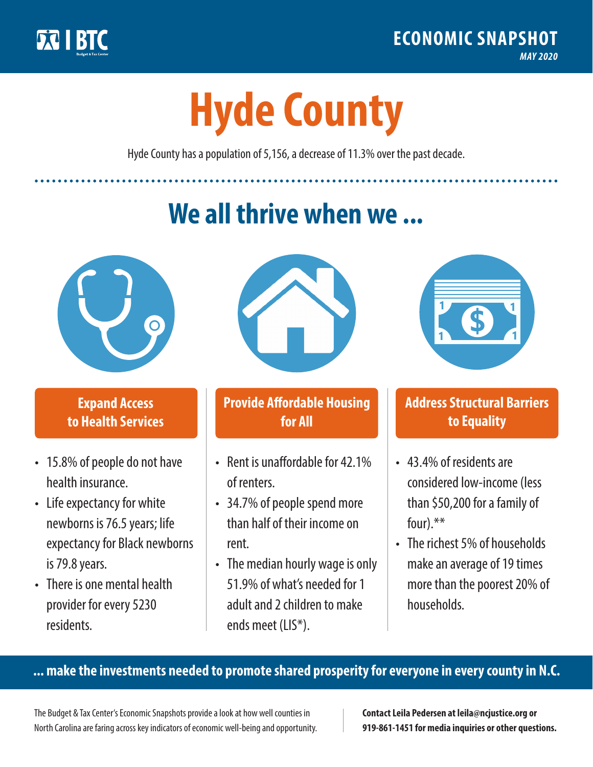

**1**

# **Hyde County**

Hyde County has a population of 5,156, a decrease of 11.3% over the past decade.

# **We all thrive when we ...**



**\$ <sup>1</sup>**

**\$ <sup>1</sup>**

#### **Expand Access to Health Services**

- 15.8% of people do not have health insurance.
- Life expectancy for white newborns is 76.5years; life expectancy for Black newborns is 79.8years.
- There is one mental health provider for every 5230 residents.



## **Provide Affordable Housing for All**

- Rent is unaffordable for 42 1% of renters.
- 34.7% of people spend more than half of their income on rent.
- The median hourly wage is only 51.9% of what's needed for 1 adult and 2 children to make ends meet (LIS\*).



## **Address Structural Barriers to Equality**

- 43.4% of residents are considered low-income (less than \$50,200 for a family of four) $.**$
- The richest 5% of households make an average of 19 times more than the poorest 20% of households.

#### **... make the investments needed to promote shared prosperity for everyone in every county in N.C.**

The Budget & Tax Center's Economic Snapshots provide a look at how well counties in North Carolina are faring across key indicators of economic well-being and opportunity.